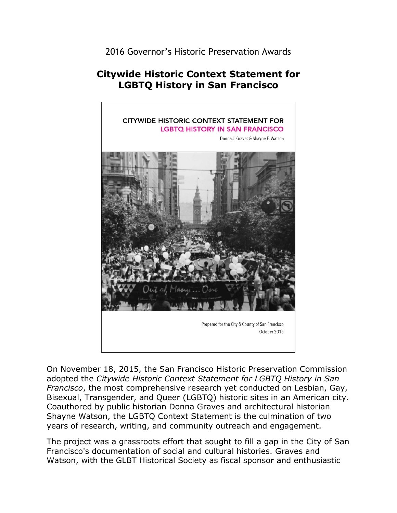2016 Governor's Historic Preservation Awards

## **Citywide Historic Context Statement for LGBTQ History in San Francisco**



 Shayne Watson, the LGBTQ Context Statement is the culmination of two On November 18, 2015, the San Francisco Historic Preservation Commission adopted the *Citywide Historic Context Statement for LGBTQ History in San Francisco*, the most comprehensive research yet conducted on Lesbian, Gay, Bisexual, Transgender, and Queer (LGBTQ) historic sites in an American city. Coauthored by public historian Donna Graves and architectural historian years of research, writing, and community outreach and engagement.

 The project was a grassroots effort that sought to fill a gap in the City of San Francisco's documentation of social and cultural histories. Graves and Watson, with the GLBT Historical Society as fiscal sponsor and enthusiastic